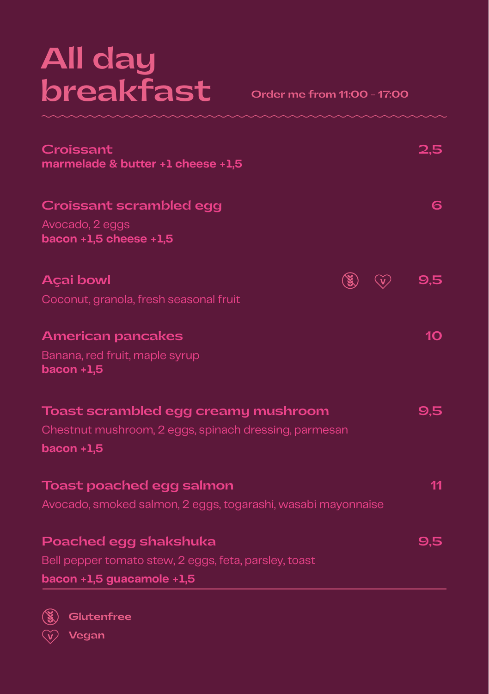# **All day breakfast**

**Order me from 11:00 - 17:00**

| Croissant<br>marmelade & butter +1 cheese +1,5               | 2.5             |
|--------------------------------------------------------------|-----------------|
| Croissant scrambled egg                                      | 6               |
| Avocado, 2 eggs<br>bacon $+1,5$ cheese $+1,5$                |                 |
| <b>Açai bowl</b>                                             | 9,5             |
| Coconut, granola, fresh seasonal fruit                       |                 |
| <b>American pancakes</b>                                     | 10 <sub>o</sub> |
| Banana, red fruit, maple syrup<br>bacon $+1,5$               |                 |
| Toast scrambled egg creamy mushroom                          | 9,5             |
| Chestnut mushroom, 2 eggs, spinach dressing, parmesan        |                 |
| bacon $+1,5$                                                 |                 |
| Toast poached egg salmon                                     | 11              |
| Avocado, smoked salmon, 2 eggs, togarashi, wasabi mayonnaise |                 |
| Poached egg shakshuka                                        | 9,5             |
| Bell pepper tomato stew, 2 eggs, feta, parsley, toast        |                 |
| bacon +1,5 guacamole +1,5                                    |                 |



**Glutenfree Vegan**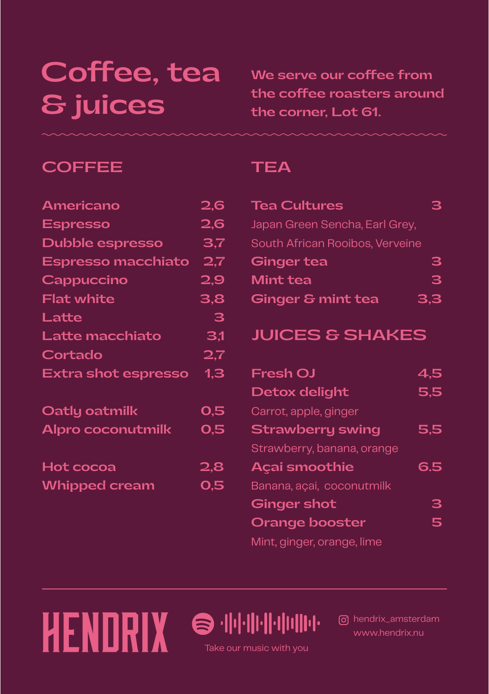### **Coffee, tea & juices**

**We serve our coffee from the coffee roasters around the corner, Lot 61.** 

### **COFFEE**

| <b>Espresso</b>            |     |
|----------------------------|-----|
|                            | 2,6 |
| Dubble espresso            | 3,7 |
| <b>Espresso macchiato</b>  | 2,7 |
| Cappuccino                 | 2,9 |
| <b>Flat white</b>          | 3,8 |
| Latte                      | з   |
| Latte macchiato            | 3,1 |
| Cortado                    | 2.7 |
| <b>Extra shot espresso</b> | 1,3 |
| Oatly oatmilk              | 0,5 |
| Alpro coconutmilk          | 0,5 |
| Hot cocoa                  | 2,8 |
| <b>Whipped cream</b>       | 0,5 |

HENDRIX

#### **TEA**

| <b>Tea Cultures</b>             |     |
|---------------------------------|-----|
| Japan Green Sencha, Earl Grey,  |     |
| South African Rooibos, Verveine |     |
| <b>Ginger tea</b>               | 3   |
| Mint tea                        | 3   |
| <b>Ginger &amp; mint tea</b>    | 3.3 |

### **JUICES & SHAKES**

| <b>Fresh OJ</b>            | 4,5 |
|----------------------------|-----|
| Detox delight              | 5,5 |
| Carrot, apple, ginger      |     |
| <b>Strawberry swing</b>    | 5,5 |
| Strawberry, banana, orange |     |
| <b>Açai smoothie</b>       | 6.5 |
| Banana, açai, coconutmilk  |     |
| <b>Ginger shot</b>         | 3   |
| <b>Orange booster</b>      | 5   |
| Mint, ginger, orange, lime |     |

hendrix\_amsterdam www.hendrix.nu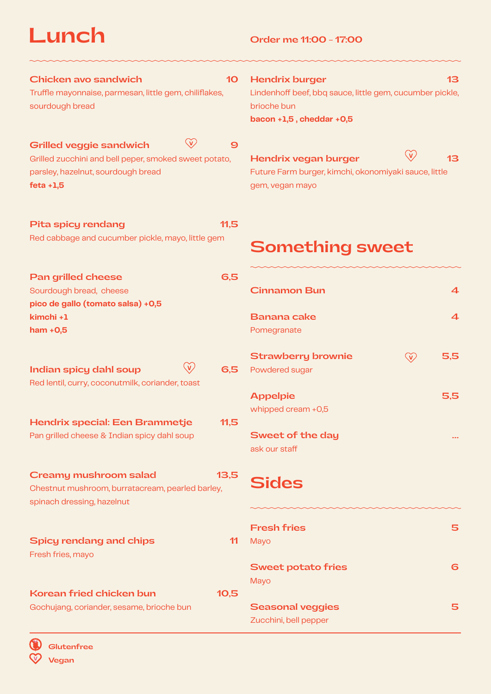**Lunch Order me 11:00 - 17:00**

**Fresh fries 5**

**Sweet of the day ...**

**Sweet potato fries 6**

**Seasonal veggies 5**

| <b>Chicken avo sandwich</b><br>10 <sup>°</sup><br>Truffle mayonnaise, parmesan, little gem, chiliflakes,<br>sourdough bread                                                     | <b>Hendrix burger</b><br>13<br>Lindenhoff beef, bbq sauce, little gem, cucumber pickle,<br>brioche bun<br>bacon +1,5, cheddar +0,5 |
|---------------------------------------------------------------------------------------------------------------------------------------------------------------------------------|------------------------------------------------------------------------------------------------------------------------------------|
| $\bigcirc$<br><b>Grilled veggie sandwich</b><br>$\boldsymbol{9}$<br>Grilled zucchini and bell peper, smoked sweet potato,<br>parsley, hazelnut, sourdough bread<br>$feta + 1,5$ | $\mathbb{G}$<br>13<br>Hendrix vegan burger<br>Future Farm burger, kimchi, okonomiyaki sauce, little<br>gem, vegan mayo             |
| 11,5<br><b>Pita spicy rendang</b><br>Red cabbage and cucumber pickle, mayo, little gem                                                                                          | <b>Something sweet</b>                                                                                                             |
| 6,5<br><b>Pan grilled cheese</b><br>Sourdough bread, cheese<br>pico de gallo (tomato salsa) +0,5                                                                                | $\boldsymbol{4}$<br><b>Cinnamon Bun</b>                                                                                            |
| kimchi +1<br>$ham + 0,5$                                                                                                                                                        | $\overline{\mathbf{4}}$<br><b>Banana cake</b><br>Pomegranate                                                                       |
| <b>Indian spicy dahl soup</b><br>6.5<br>Red lentil, curry, coconutmilk, coriander, toast                                                                                        | <b>Strawberry brownie</b><br>5,5<br>$\mathbb{G}$<br>Powdered sugar                                                                 |
|                                                                                                                                                                                 | 5,5<br><b>Appelpie</b>                                                                                                             |

Mayo

**Sides**

ask our staff

whipped cream +0,5

Mayo

Zucchini, bell pepper

| Hendrix special: Een Brammetje              | 11,5 |
|---------------------------------------------|------|
| Pan grilled cheese & Indian spicy dahl soup |      |

| Creamy mushroom salad                                                          | 13.5 |
|--------------------------------------------------------------------------------|------|
| Chestnut mushroom, burratacream, pearled barley,<br>spinach dressing, hazelnut |      |
| Spicy rendang and chips<br>Fresh fries, mayo                                   |      |

**Korean fried chicken bun 10,5** Gochujang, coriander, sesame, brioche bun

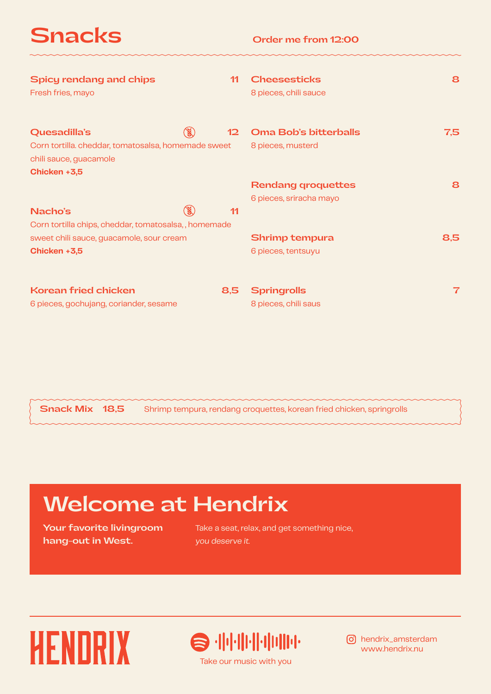**Snacks**

| Spicy rendang and chips<br>Fresh fries, mayo                                                                                  | 11                | <b>Cheesesticks</b><br>8 pieces, chili sauce         | 8   |
|-------------------------------------------------------------------------------------------------------------------------------|-------------------|------------------------------------------------------|-----|
| $\mathbb{X}$<br>Quesadilla's<br>Corn tortilla. cheddar, tomatosalsa, homemade sweet<br>chili sauce, guacamole<br>Chicken +3,5 | $12 \overline{)}$ | Oma Bob's bitterballs<br>8 pieces, musterd           | 7,5 |
| $\mathbb{X}$<br>Nacho's<br>Corn tortilla chips, cheddar, tomatosalsa,, homemade                                               | 11                | <b>Rendang groquettes</b><br>6 pieces, sriracha mayo | 8   |
| sweet chili sauce, guacamole, sour cream<br>Chicken +3,5                                                                      |                   | Shrimp tempura<br>6 pieces, tentsuyu                 | 8,5 |
| <b>Korean fried chicken</b><br>6 pieces, gochujang, coriander, sesame                                                         | 8,5               | <b>Springrolls</b><br>8 pieces, chili saus           | 7   |

Shrimp tempura, rendang croquettes, korean fried chicken, springrolls  **Snack Mix 18,5**

# **Welcome at Hendrix**

**Your favorite livingroom hang-out in West.**

Take a seat, relax, and get something nice, you deserve it.





www.hendrix.nu hendrix\_amsterdam